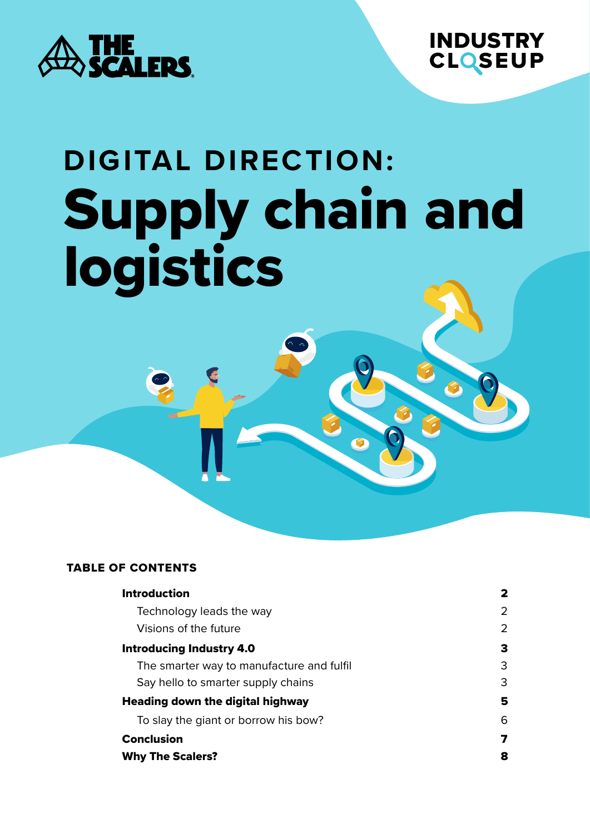



# **DIGITAL DIRECTION:** Supply chain and logistics

#### TABLE OF CONTENTS

| <b>Introduction</b>                       | 2 |
|-------------------------------------------|---|
| Technology leads the way                  | 2 |
| Visions of the future                     | 2 |
| <b>Introducing Industry 4.0</b>           | 3 |
| The smarter way to manufacture and fulfil | 3 |
| Say hello to smarter supply chains        | 3 |
| <b>Heading down the digital highway</b>   | 5 |
| To slay the giant or borrow his bow?      | 6 |
| <b>Conclusion</b>                         | 7 |
| <b>Why The Scalers?</b>                   | 8 |
|                                           |   |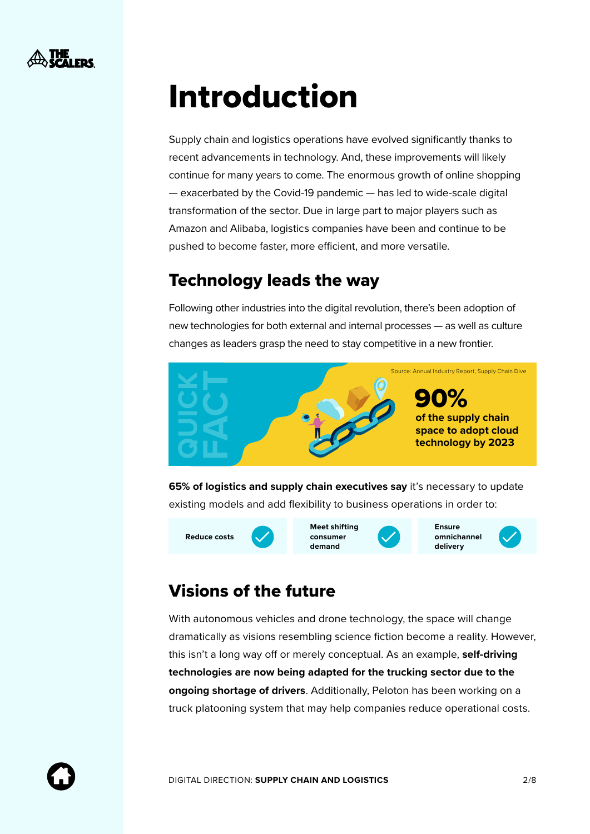<span id="page-1-0"></span>

## Introduction

Supply chain and logistics operations have evolved significantly thanks to recent advancements in technology. And, these improvements will likely continue for many years to come. The enormous growth of online shopping — exacerbated by the Covid-19 pandemic — has led to wide-scale digital transformation of the sector. Due in large part to major players such as Amazon and Alibaba, logistics companies have been and continue to be pushed to become faster, more efficient, and more versatile.

#### Technology leads the way

Following other industries into the digital revolution, there's been adoption of new technologies for both external and internal processes — as well as culture changes as leaders grasp the need to stay competitive in a new frontier.



**65% of logistics and supply chain executives say** it's necessary to update existing models and add flexibility to business operations in order to:



### Visions of the future

With autonomous vehicles and drone technology, the space will change dramatically as visions resembling science fiction become a reality. However, this isn't a long way off or merely conceptual. As an example, **self-driving technologies are now being adapted for the trucking sector due to the ongoing shortage of drivers**. Additionally, Peloton has been working on a truck platooning system that may help companies reduce operational costs.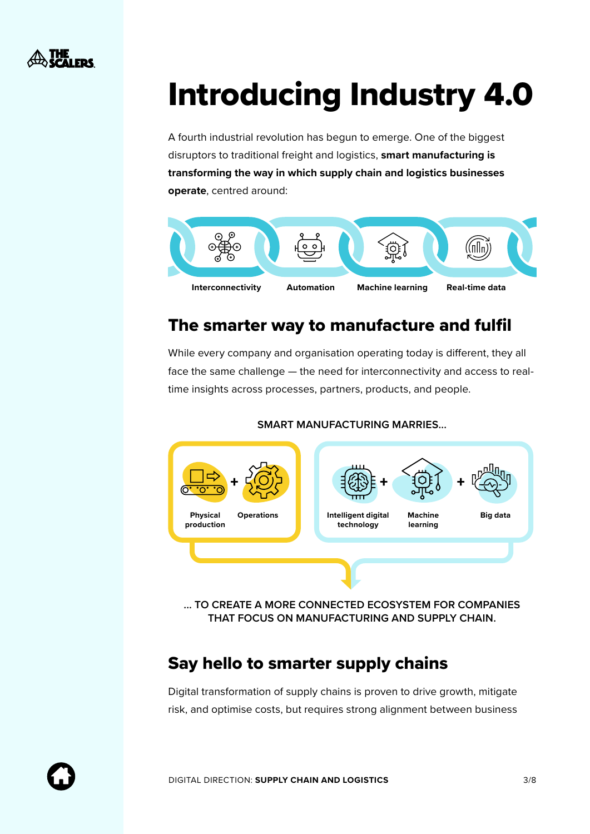<span id="page-2-0"></span>

## Introducing Industry 4.0

A fourth industrial revolution has begun to emerge. One of the biggest disruptors to traditional freight and logistics, **smart manufacturing is transforming the way in which supply chain and logistics businesses operate**, centred around:



### The smarter way to manufacture and fulfil

While every company and organisation operating today is different, they all face the same challenge — the need for interconnectivity and access to realtime insights across processes, partners, products, and people.



**SMART MANUFACTURING MARRIES...** 

**... TO CREATE A MORE CONNECTED ECOSYSTEM FOR COMPANIES THAT FOCUS ON MANUFACTURING AND SUPPLY CHAIN.** 

#### Say hello to smarter supply chains

Digital transformation of supply chains is proven to drive growth, mitigate risk, and optimise costs, but requires strong alignment between business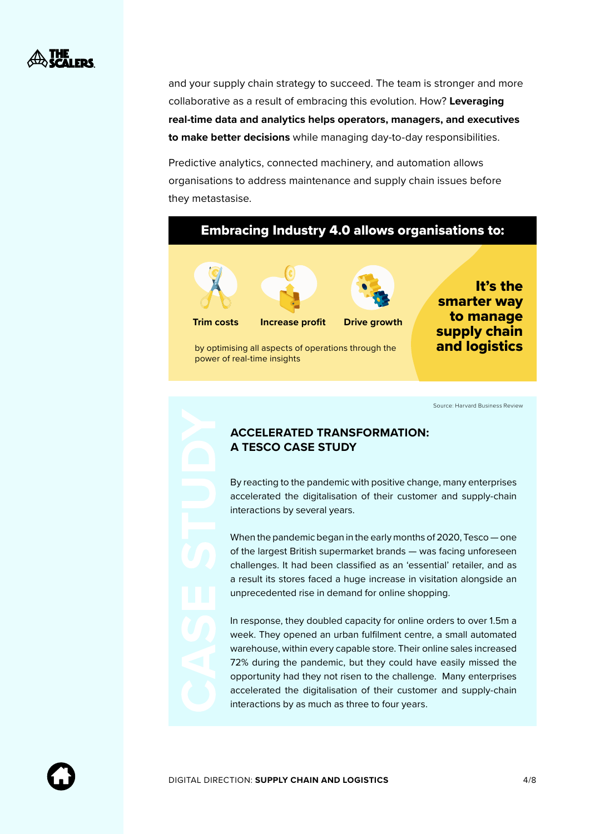

and your supply chain strategy to succeed. The team is stronger and more collaborative as a result of embracing this evolution. How? **Leveraging real-time data and analytics helps operators, managers, and executives to make better decisions** while managing day-to-day responsibilities.

Predictive analytics, connected machinery, and automation allows organisations to address maintenance and supply chain issues before they metastasise.

#### Embracing Industry 4.0 allows organisations to:



power of real-time insights

by optimising all aspects of operations through the



It's the smarter way to manage supply chain and logistics

[Source: Harvard Business Review](https://hbr.org/sponsored/2021/08/how-disruption-accelerated-digital-supply-chain-transformation)

#### **ACCELERATED TRANSFORMATION: A TESCO CASE STUDY**

By reacting to the pandemic with positive change, many enterprises accelerated the digitalisation of their customer and supply-chain interactions by several years.

When the pandemic began in the early months of 2020, Tesco — one of the largest British supermarket brands — was facing unforeseen challenges. It had been classified as an 'essential' retailer, and as a result its stores faced a huge increase in visitation alongside an unprecedented rise in demand for online shopping.

In response, they doubled capacity for online orders to over 1.5m a week. They opened an urban fulfilment centre, a small automated warehouse, within every capable store. Their online sales increased 72% during the pandemic, but they could have easily missed the opportunity had they not risen to the challenge. Many enterprises accelerated the digitalisation of their customer and supply-chain interactions by as much as three to four years.

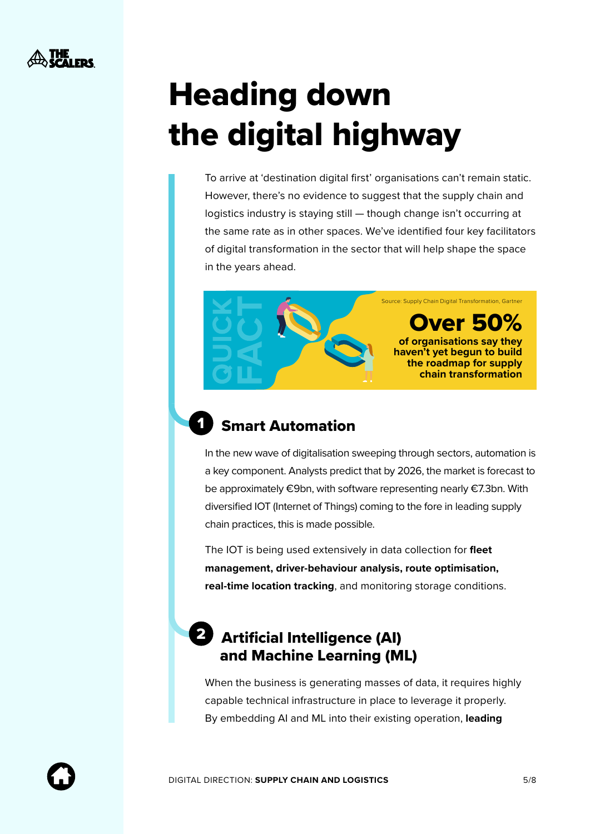## <span id="page-4-0"></span>Heading down the digital highway

To arrive at 'destination digital first' organisations can't remain static. However, there's no evidence to suggest that the supply chain and logistics industry is staying still — though change isn't occurring at the same rate as in other spaces. We've identified four key facilitators of digital transformation in the sector that will help shape the space in the years ahead.

> **of organisations say they haven't yet begun to build the roadmap for supply**  Over 50% [Source: Supply Chain Digital Transformation, Gartner](https://www.gartner.co.uk/en/supply-chain/insights/supply-chain-digital-transformation)

> > **chain transformation**



### Smart Automation

In the new wave of digitalisation sweeping through sectors, automation is a key component. Analysts predict that by 2026, the market is forecast to be approximately €9bn, with software representing nearly €7.3bn. With diversified IOT (Internet of Things) coming to the fore in leading supply chain practices, this is made possible.

The IOT is being used extensively in data collection for **fleet management, driver-behaviour analysis, route optimisation, real-time location tracking**, and monitoring storage conditions.

### 2 Artificial Intelligence (AI) and Machine Learning (ML)

When the business is generating masses of data, it requires highly capable technical infrastructure in place to leverage it properly. By embedding AI and ML into their existing operation, **leading**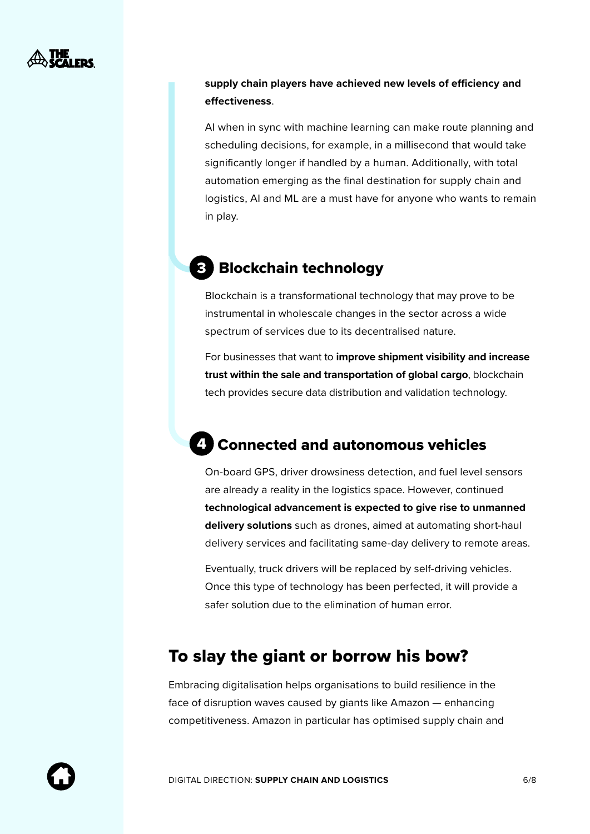<span id="page-5-0"></span>

#### **supply chain players have achieved new levels of efficiency and effectiveness**.

AI when in sync with machine learning can make route planning and scheduling decisions, for example, in a millisecond that would take significantly longer if handled by a human. Additionally, with total automation emerging as the final destination for supply chain and logistics, AI and ML are a must have for anyone who wants to remain in play.

#### Blockchain technology 3

Blockchain is a transformational technology that may prove to be instrumental in wholescale changes in the sector across a wide spectrum of services due to its decentralised nature.

For businesses that want to **improve shipment visibility and increase trust within the sale and transportation of global cargo**, blockchain tech provides secure data distribution and validation technology.

### Connected and autonomous vehicles 4

On-board GPS, driver drowsiness detection, and fuel level sensors are already a reality in the logistics space. However, continued **technological advancement is expected to give rise to unmanned delivery solutions** such as drones, aimed at automating short-haul delivery services and facilitating same-day delivery to remote areas.

Eventually, truck drivers will be replaced by self-driving vehicles. Once this type of technology has been perfected, it will provide a safer solution due to the elimination of human error.

### To slay the giant or borrow his bow?

Embracing digitalisation helps organisations to build resilience in the face of disruption waves caused by giants like Amazon — enhancing competitiveness. Amazon in particular has optimised supply chain and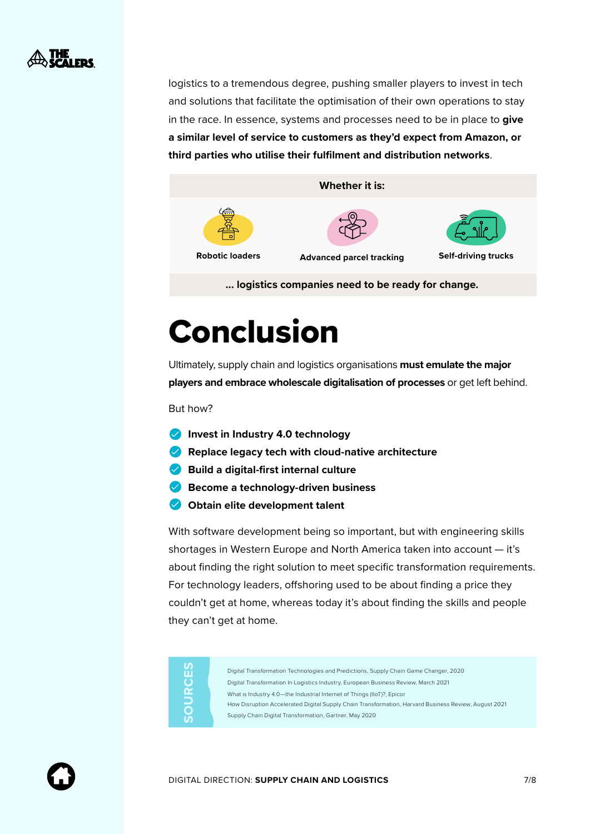<span id="page-6-0"></span>

logistics to a tremendous degree, pushing smaller players to invest in tech and solutions that facilitate the optimisation of their own operations to stay in the race. In essence, systems and processes need to be in place to **give a similar level of service to customers as they'd expect from Amazon, or third parties who utilise their fulfilment and distribution networks**.



**... logistics companies need to be ready for change.** 

## Conclusion

Ultimately, supply chain and logistics organisations **must emulate the major players and embrace wholescale digitalisation of processes** or get left behind.

But how?

- **Invest in Industry 4.0 technology**
- **Replace legacy tech with cloud-native architecture**
- **Build a digital-first internal culture**
- **Become a technology-driven business**
- **Obtain elite development talent**

With software development being so important, but with engineering skills shortages in Western Europe and North America taken into account — it's about finding the right solution to meet specific transformation requirements. For technology leaders, offshoring used to be about finding a price they couldn't get at home, whereas today it's about finding the skills and people they can't get at home.

| <b>S</b><br>ш | Digital Transformation Technologies and Predictions, Supply Chain Game Changer, 2020                 |
|---------------|------------------------------------------------------------------------------------------------------|
| $\cup$        | Digital Transformation In Logistics Industry, European Business Review, March 2021                   |
| $\alpha$      | What is Industry 4.0-the Industrial Internet of Things (IIoT)?, Epicor                               |
|               | How Disruption Accelerated Digital Supply Chain Transformation, Harvard Business Review, August 2021 |
|               | Supply Chain Digital Transformation, Gartner, May 2020                                               |